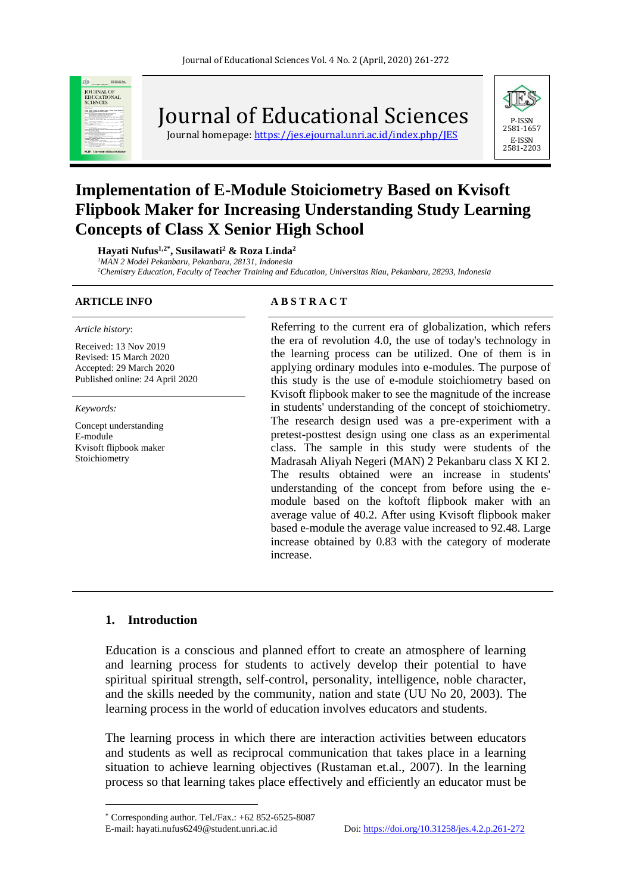

Journal of Educational Sciences

Journal homepage: https://jes.ejournal.unri.ac.id/index.php/IES



# **Implementation of E-Module Stoiciometry Based on Kvisoft Flipbook Maker for Increasing Understanding Study Learning Concepts of Class X Senior High School**

**Hayati Nufus1,2\* , Susilawati<sup>2</sup> & Roza Linda<sup>2</sup>**

*<sup>1</sup>MAN 2 Model Pekanbaru, Pekanbaru, 28131, Indonesia*

*<sup>2</sup>Chemistry Education, Faculty of Teacher Training and Education, Universitas Riau, Pekanbaru, 28293, Indonesia*

#### *Article history*:

Received: 13 Nov 2019 Revised: 15 March 2020 Accepted: 29 March 2020 Published online: 24 April 2020

*Keywords:*

Concept understanding E-module Kvisoft flipbook maker Stoichiometry

#### **ARTICLE INFO A B S T R A C T**

Referring to the current era of globalization, which refers the era of revolution 4.0, the use of today's technology in the learning process can be utilized. One of them is in applying ordinary modules into e-modules. The purpose of this study is the use of e-module stoichiometry based on Kvisoft flipbook maker to see the magnitude of the increase in students' understanding of the concept of stoichiometry. The research design used was a pre-experiment with a pretest-posttest design using one class as an experimental class. The sample in this study were students of the Madrasah Aliyah Negeri (MAN) 2 Pekanbaru class X KI 2. The results obtained were an increase in students' understanding of the concept from before using the emodule based on the koftoft flipbook maker with an average value of 40.2. After using Kvisoft flipbook maker based e-module the average value increased to 92.48. Large increase obtained by 0.83 with the category of moderate increase.

#### **1. Introduction**

Education is a conscious and planned effort to create an atmosphere of learning and learning process for students to actively develop their potential to have spiritual spiritual strength, self-control, personality, intelligence, noble character, and the skills needed by the community, nation and state (UU No 20, 2003). The learning process in the world of education involves educators and students.

The learning process in which there are interaction activities between educators and students as well as reciprocal communication that takes place in a learning situation to achieve learning objectives (Rustaman et.al., 2007). In the learning process so that learning takes place effectively and efficiently an educator must be

 $*$  Corresponding author. Tel./Fax.:  $+62852-6525-8087$ E-mail: hayati.nufus6249@student.unri.ac.id Doi[: https://doi.org/10.31258/jes.4.2.p.261-272](https://doi.org/10.31258/jes.4.2.p.261-272)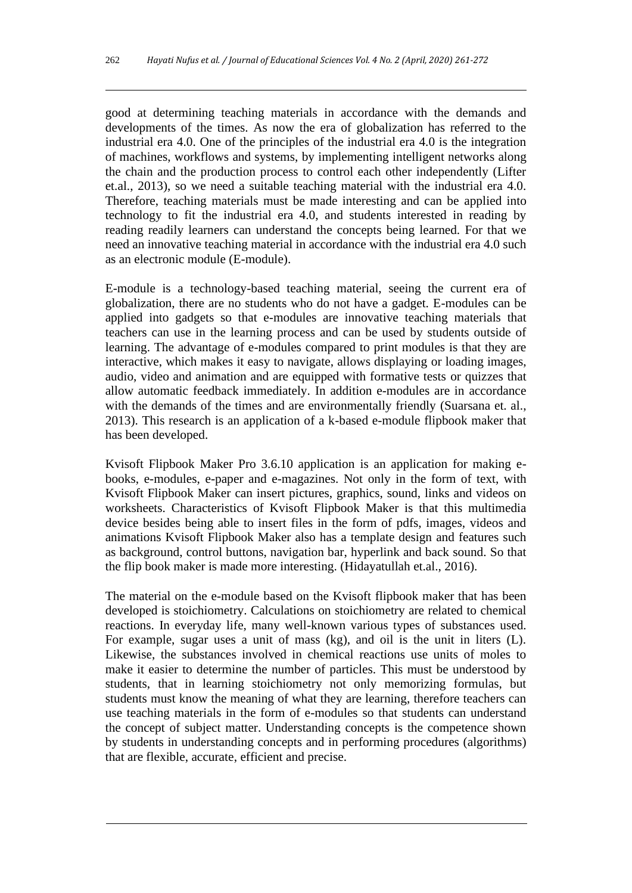good at determining teaching materials in accordance with the demands and developments of the times. As now the era of globalization has referred to the industrial era 4.0. One of the principles of the industrial era 4.0 is the integration of machines, workflows and systems, by implementing intelligent networks along the chain and the production process to control each other independently (Lifter et.al., 2013), so we need a suitable teaching material with the industrial era 4.0. Therefore, teaching materials must be made interesting and can be applied into technology to fit the industrial era 4.0, and students interested in reading by reading readily learners can understand the concepts being learned. For that we need an innovative teaching material in accordance with the industrial era 4.0 such as an electronic module (E-module).

E-module is a technology-based teaching material, seeing the current era of globalization, there are no students who do not have a gadget. E-modules can be applied into gadgets so that e-modules are innovative teaching materials that teachers can use in the learning process and can be used by students outside of learning. The advantage of e-modules compared to print modules is that they are interactive, which makes it easy to navigate, allows displaying or loading images, audio, video and animation and are equipped with formative tests or quizzes that allow automatic feedback immediately. In addition e-modules are in accordance with the demands of the times and are environmentally friendly (Suarsana et. al., 2013). This research is an application of a k-based e-module flipbook maker that has been developed.

Kvisoft Flipbook Maker Pro 3.6.10 application is an application for making ebooks, e-modules, e-paper and e-magazines. Not only in the form of text, with Kvisoft Flipbook Maker can insert pictures, graphics, sound, links and videos on worksheets. Characteristics of Kvisoft Flipbook Maker is that this multimedia device besides being able to insert files in the form of pdfs, images, videos and animations Kvisoft Flipbook Maker also has a template design and features such as background, control buttons, navigation bar, hyperlink and back sound. So that the flip book maker is made more interesting. (Hidayatullah et.al., 2016).

The material on the e-module based on the Kvisoft flipbook maker that has been developed is stoichiometry. Calculations on stoichiometry are related to chemical reactions. In everyday life, many well-known various types of substances used. For example, sugar uses a unit of mass (kg), and oil is the unit in liters (L). Likewise, the substances involved in chemical reactions use units of moles to make it easier to determine the number of particles. This must be understood by students, that in learning stoichiometry not only memorizing formulas, but students must know the meaning of what they are learning, therefore teachers can use teaching materials in the form of e-modules so that students can understand the concept of subject matter. Understanding concepts is the competence shown by students in understanding concepts and in performing procedures (algorithms) that are flexible, accurate, efficient and precise.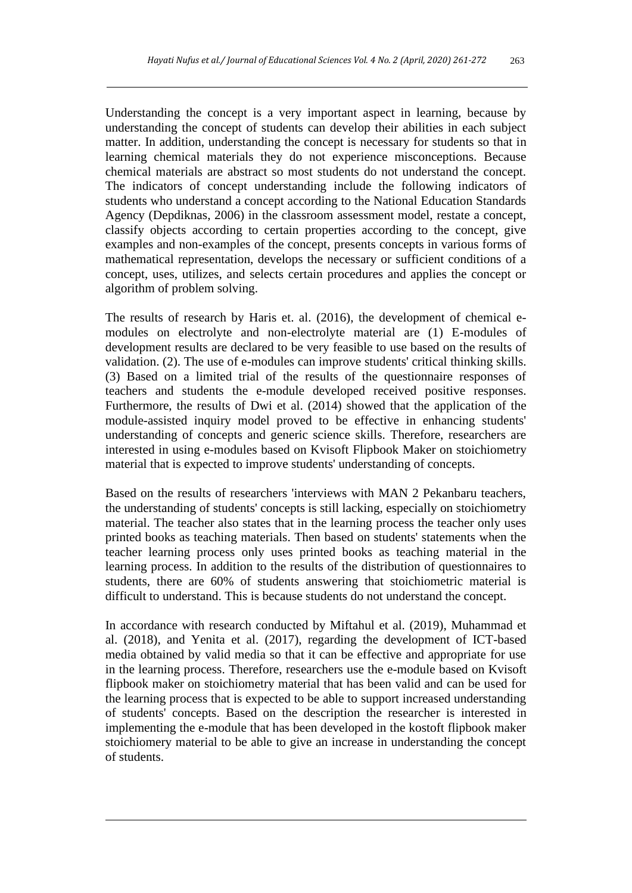Understanding the concept is a very important aspect in learning, because by understanding the concept of students can develop their abilities in each subject matter. In addition, understanding the concept is necessary for students so that in learning chemical materials they do not experience misconceptions. Because chemical materials are abstract so most students do not understand the concept. The indicators of concept understanding include the following indicators of students who understand a concept according to the National Education Standards Agency (Depdiknas, 2006) in the classroom assessment model, restate a concept, classify objects according to certain properties according to the concept, give examples and non-examples of the concept, presents concepts in various forms of mathematical representation, develops the necessary or sufficient conditions of a concept, uses, utilizes, and selects certain procedures and applies the concept or algorithm of problem solving.

The results of research by Haris et. al. (2016), the development of chemical emodules on electrolyte and non-electrolyte material are (1) E-modules of development results are declared to be very feasible to use based on the results of validation. (2). The use of e-modules can improve students' critical thinking skills. (3) Based on a limited trial of the results of the questionnaire responses of teachers and students the e-module developed received positive responses. Furthermore, the results of Dwi et al. (2014) showed that the application of the module-assisted inquiry model proved to be effective in enhancing students' understanding of concepts and generic science skills. Therefore, researchers are interested in using e-modules based on Kvisoft Flipbook Maker on stoichiometry material that is expected to improve students' understanding of concepts.

Based on the results of researchers 'interviews with MAN 2 Pekanbaru teachers, the understanding of students' concepts is still lacking, especially on stoichiometry material. The teacher also states that in the learning process the teacher only uses printed books as teaching materials. Then based on students' statements when the teacher learning process only uses printed books as teaching material in the learning process. In addition to the results of the distribution of questionnaires to students, there are 60% of students answering that stoichiometric material is difficult to understand. This is because students do not understand the concept.

In accordance with research conducted by Miftahul et al. (2019), Muhammad et al. (2018), and Yenita et al. (2017), regarding the development of ICT-based media obtained by valid media so that it can be effective and appropriate for use in the learning process. Therefore, researchers use the e-module based on Kvisoft flipbook maker on stoichiometry material that has been valid and can be used for the learning process that is expected to be able to support increased understanding of students' concepts. Based on the description the researcher is interested in implementing the e-module that has been developed in the kostoft flipbook maker stoichiomery material to be able to give an increase in understanding the concept of students.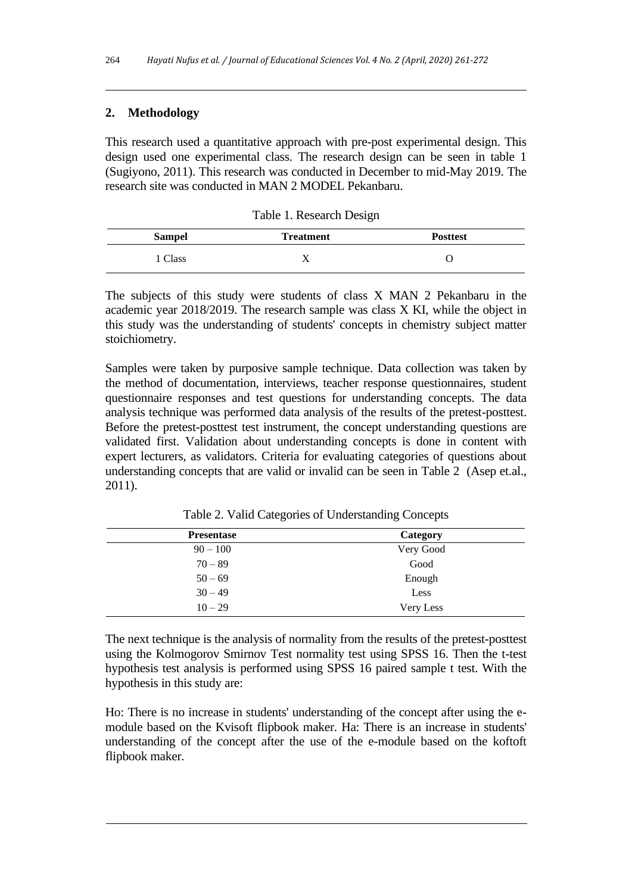## **2. Methodology**

This research used a quantitative approach with pre-post experimental design. This design used one experimental class. The research design can be seen in table 1 (Sugiyono, 2011). This research was conducted in December to mid-May 2019. The research site was conducted in MAN 2 MODEL Pekanbaru.

|               | ັ                |                 |
|---------------|------------------|-----------------|
| <b>Sampel</b> | <b>Treatment</b> | <b>Posttest</b> |
| l Class       |                  |                 |

Table 1. Research Design

The subjects of this study were students of class X MAN 2 Pekanbaru in the academic year 2018/2019. The research sample was class X KI, while the object in this study was the understanding of students' concepts in chemistry subject matter stoichiometry.

Samples were taken by purposive sample technique. Data collection was taken by the method of documentation, interviews, teacher response questionnaires, student questionnaire responses and test questions for understanding concepts. The data analysis technique was performed data analysis of the results of the pretest-posttest. Before the pretest-posttest test instrument, the concept understanding questions are validated first. Validation about understanding concepts is done in content with expert lecturers, as validators. Criteria for evaluating categories of questions about understanding concepts that are valid or invalid can be seen in Table 2 (Asep et.al., 2011).

| <b>Presentase</b> | Category  |
|-------------------|-----------|
| $90 - 100$        | Very Good |
| $70 - 89$         | Good      |
| $50 - 69$         | Enough    |
| $30 - 49$         | Less      |
| $10 - 29$         | Very Less |

Table 2. Valid Categories of Understanding Concepts

The next technique is the analysis of normality from the results of the pretest-posttest using the Kolmogorov Smirnov Test normality test using SPSS 16. Then the t-test hypothesis test analysis is performed using SPSS 16 paired sample t test. With the hypothesis in this study are:

Ho: There is no increase in students' understanding of the concept after using the emodule based on the Kvisoft flipbook maker. Ha: There is an increase in students' understanding of the concept after the use of the e-module based on the koftoft flipbook maker.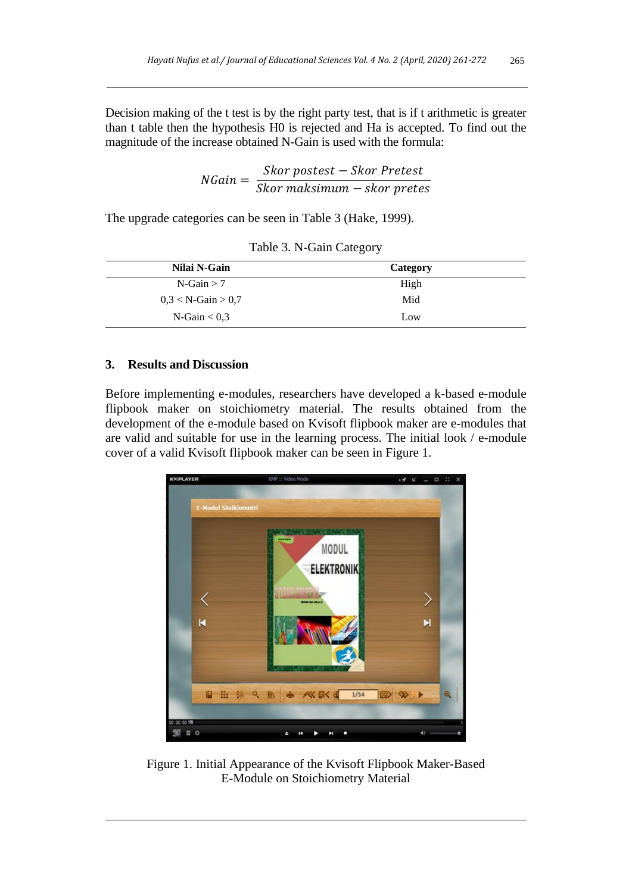Decision making of the t test is by the right party test, that is if t arithmetic is greater than t table then the hypothesis H0 is rejected and Ha is accepted. To find out the magnitude of the increase obtained N-Gain is used with the formula:

$$
NGain = \frac{Skor\,postest - Skor\,Pretest}{Skor\,maksimum - skor\,pretes}
$$

The upgrade categories can be seen in Table 3 (Hake, 1999).

| Nilai N-Gain          | Category |
|-----------------------|----------|
| $N-Gain > 7$          | High     |
| $0.3 < N$ -Gain > 0.7 | Mid      |
| $N-Gain < 0.3$        | Low      |

Table 3. N-Gain Category

#### **3. Results and Discussion**

Before implementing e-modules, researchers have developed a k-based e-module flipbook maker on stoichiometry material. The results obtained from the development of the e-module based on Kvisoft flipbook maker are e-modules that are valid and suitable for use in the learning process. The initial look / e-module cover of a valid Kvisoft flipbook maker can be seen in Figure 1.



Figure 1. Initial Appearance of the Kvisoft Flipbook Maker-Based E-Module on Stoichiometry Material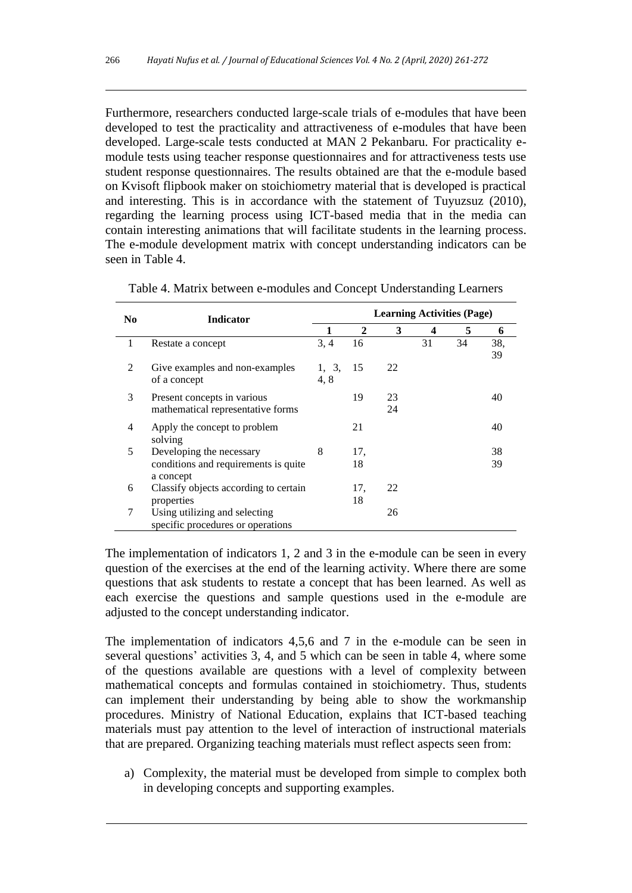Furthermore, researchers conducted large-scale trials of e-modules that have been developed to test the practicality and attractiveness of e-modules that have been developed. Large-scale tests conducted at MAN 2 Pekanbaru. For practicality emodule tests using teacher response questionnaires and for attractiveness tests use student response questionnaires. The results obtained are that the e-module based on Kvisoft flipbook maker on stoichiometry material that is developed is practical and interesting. This is in accordance with the statement of Tuyuzsuz (2010), regarding the learning process using ICT-based media that in the media can contain interesting animations that will facilitate students in the learning process. The e-module development matrix with concept understanding indicators can be seen in Table 4.

| N <sub>0</sub> | <b>Indicator</b>                                                 | <b>Learning Activities (Page)</b> |              |          |    |    |           |  |
|----------------|------------------------------------------------------------------|-----------------------------------|--------------|----------|----|----|-----------|--|
|                |                                                                  |                                   | $\mathbf{2}$ | 3        | 4  | 5  | 6         |  |
| 1              | Restate a concept                                                | 3, 4                              | 16           |          | 31 | 34 | 38,<br>39 |  |
| $\mathcal{L}$  | Give examples and non-examples<br>of a concept                   | 1, 3,<br>4.8                      | 15           | 22       |    |    |           |  |
| 3              | Present concepts in various<br>mathematical representative forms |                                   | 19           | 23<br>24 |    |    | 40        |  |
| 4              | Apply the concept to problem<br>solving                          |                                   | 21           |          |    |    | 40        |  |
| 5              | Developing the necessary                                         | 8                                 | 17,          |          |    |    | 38        |  |
|                | conditions and requirements is quite<br>a concept                |                                   | 18           |          |    |    | 39        |  |
| 6              | Classify objects according to certain                            |                                   | 17,          | 22       |    |    |           |  |
|                | properties                                                       |                                   | 18           |          |    |    |           |  |
| 7              | Using utilizing and selecting                                    |                                   |              | 26       |    |    |           |  |
|                | specific procedures or operations                                |                                   |              |          |    |    |           |  |

Table 4. Matrix between e-modules and Concept Understanding Learners

The implementation of indicators 1, 2 and 3 in the e-module can be seen in every question of the exercises at the end of the learning activity. Where there are some questions that ask students to restate a concept that has been learned. As well as each exercise the questions and sample questions used in the e-module are adjusted to the concept understanding indicator.

The implementation of indicators 4,5,6 and 7 in the e-module can be seen in several questions' activities 3, 4, and 5 which can be seen in table 4, where some of the questions available are questions with a level of complexity between mathematical concepts and formulas contained in stoichiometry. Thus, students can implement their understanding by being able to show the workmanship procedures. Ministry of National Education, explains that ICT-based teaching materials must pay attention to the level of interaction of instructional materials that are prepared. Organizing teaching materials must reflect aspects seen from:

a) Complexity, the material must be developed from simple to complex both in developing concepts and supporting examples.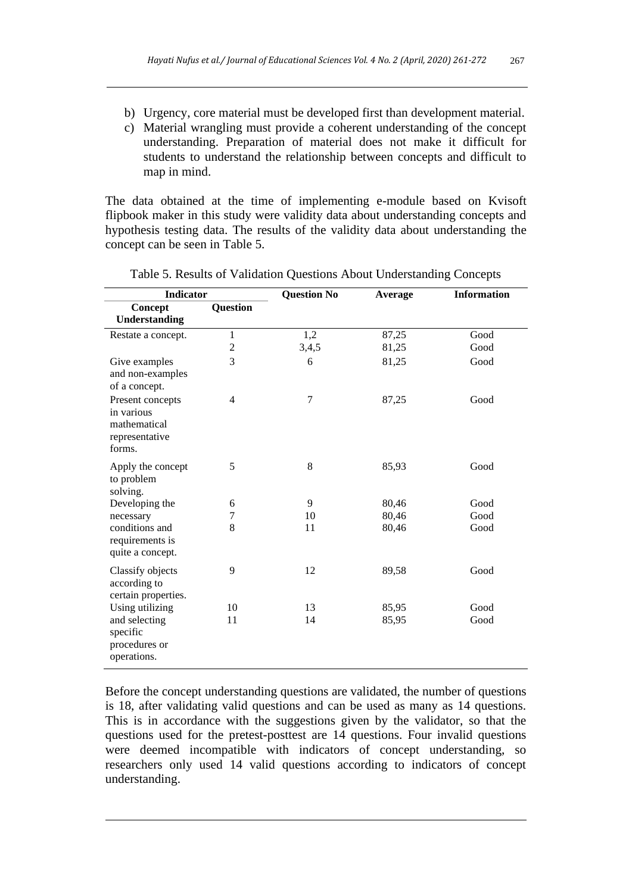- b) Urgency, core material must be developed first than development material.
- c) Material wrangling must provide a coherent understanding of the concept understanding. Preparation of material does not make it difficult for students to understand the relationship between concepts and difficult to map in mind.

The data obtained at the time of implementing e-module based on Kvisoft flipbook maker in this study were validity data about understanding concepts and hypothesis testing data. The results of the validity data about understanding the concept can be seen in Table 5.

| <b>Indicator</b>                                                           |                | <b>Question No</b> | Average | <b>Information</b> |  |
|----------------------------------------------------------------------------|----------------|--------------------|---------|--------------------|--|
| Concept                                                                    | Question       |                    |         |                    |  |
| Understanding                                                              |                |                    |         |                    |  |
| Restate a concept.                                                         | $\mathbf 1$    | 1,2                | 87,25   | Good               |  |
|                                                                            | 2              | 3,4,5              | 81,25   | Good               |  |
| Give examples<br>and non-examples<br>of a concept.                         | 3              | 6                  | 81,25   | Good               |  |
| Present concepts<br>in various<br>mathematical<br>representative<br>forms. | $\overline{4}$ | $\overline{7}$     | 87,25   | Good               |  |
| Apply the concept<br>to problem<br>solving.                                | 5              | $\,8\,$            | 85,93   | Good               |  |
| Developing the                                                             | 6              | 9                  | 80,46   | Good               |  |
| necessary                                                                  | 7              | 10                 | 80,46   | Good               |  |
| conditions and<br>requirements is<br>quite a concept.                      | 8              | 11                 | 80,46   | Good               |  |
| Classify objects<br>according to<br>certain properties.                    | 9              | 12                 | 89,58   | Good               |  |
| Using utilizing                                                            | 10             | 13                 | 85,95   | Good               |  |
| and selecting<br>specific<br>procedures or<br>operations.                  | 11             | 14                 | 85,95   | Good               |  |

Table 5. Results of Validation Questions About Understanding Concepts

Before the concept understanding questions are validated, the number of questions is 18, after validating valid questions and can be used as many as 14 questions. This is in accordance with the suggestions given by the validator, so that the questions used for the pretest-posttest are 14 questions. Four invalid questions were deemed incompatible with indicators of concept understanding, so researchers only used 14 valid questions according to indicators of concept understanding.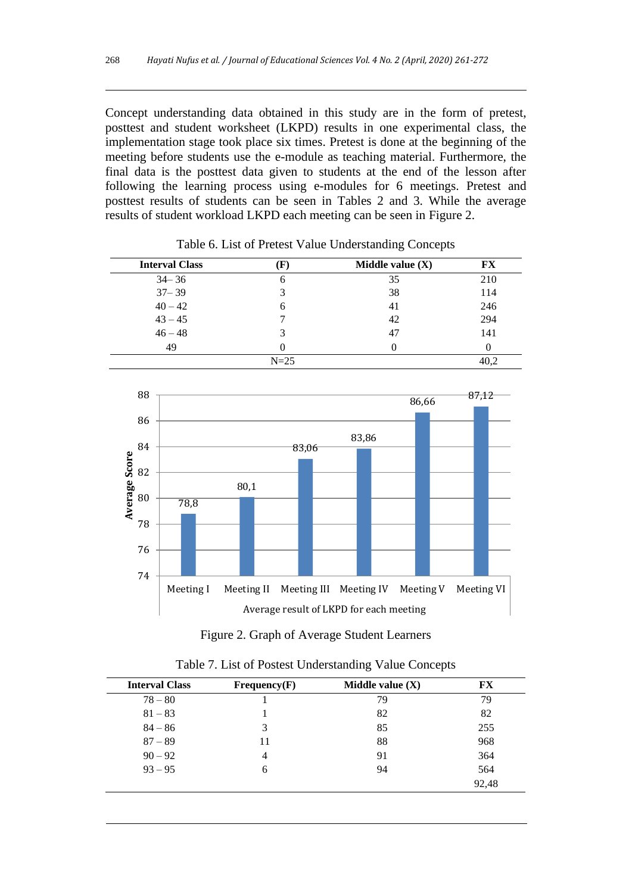Concept understanding data obtained in this study are in the form of pretest, posttest and student worksheet (LKPD) results in one experimental class, the implementation stage took place six times. Pretest is done at the beginning of the meeting before students use the e-module as teaching material. Furthermore, the final data is the posttest data given to students at the end of the lesson after following the learning process using e-modules for 6 meetings. Pretest and posttest results of students can be seen in Tables 2 and 3. While the average results of student workload LKPD each meeting can be seen in Figure 2.

| <b>Interval Class</b> |        | Middle value $(X)$ | FX  |  |
|-----------------------|--------|--------------------|-----|--|
| $34 - 36$             | n      | 35                 | 210 |  |
| $37 - 39$             |        | 38                 | 114 |  |
| $40 - 42$             |        | 41                 | 246 |  |
| $43 - 45$             |        | 42                 | 294 |  |
| $46 - 48$             |        | 47                 | 141 |  |
| 49                    |        |                    |     |  |
|                       | $N=25$ |                    |     |  |

Table 6. List of Pretest Value Understanding Concepts





| <b>Interval Class</b> | Frequency(F) | Middle value $(X)$ | FX    |
|-----------------------|--------------|--------------------|-------|
| $78 - 80$             |              | 79                 | 79    |
| $81 - 83$             |              | 82                 | 82    |
| $84 - 86$             | 3            | 85                 | 255   |
| $87 - 89$             | 11           | 88                 | 968   |
| $90 - 92$             | 4            | 91                 | 364   |
| $93 - 95$             | 6            | 94                 | 564   |
|                       |              |                    | 92,48 |

Table 7. List of Postest Understanding Value Concepts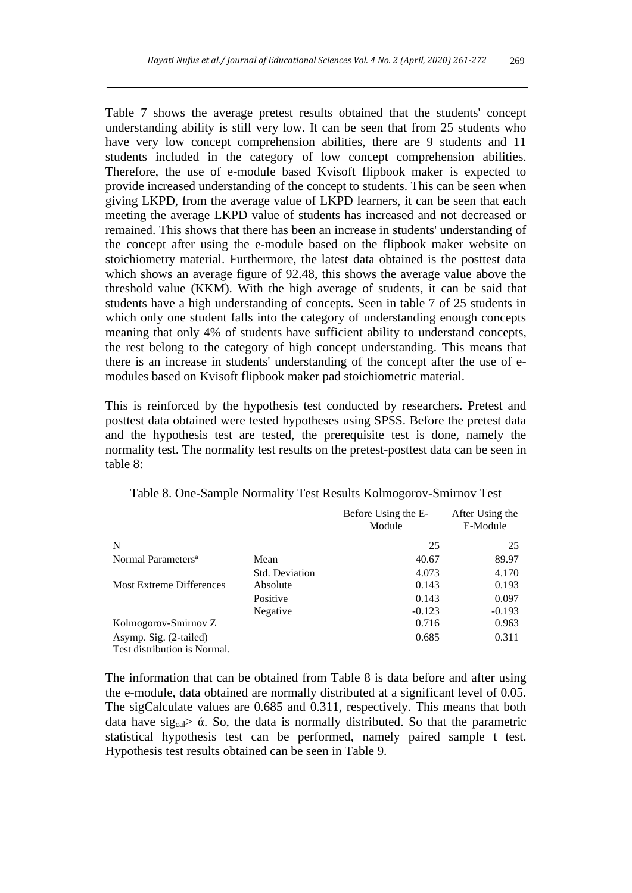Table 7 shows the average pretest results obtained that the students' concept understanding ability is still very low. It can be seen that from 25 students who have very low concept comprehension abilities, there are 9 students and 11 students included in the category of low concept comprehension abilities. Therefore, the use of e-module based Kvisoft flipbook maker is expected to provide increased understanding of the concept to students. This can be seen when giving LKPD, from the average value of LKPD learners, it can be seen that each meeting the average LKPD value of students has increased and not decreased or remained. This shows that there has been an increase in students' understanding of the concept after using the e-module based on the flipbook maker website on stoichiometry material. Furthermore, the latest data obtained is the posttest data which shows an average figure of 92.48, this shows the average value above the threshold value (KKM). With the high average of students, it can be said that students have a high understanding of concepts. Seen in table 7 of 25 students in which only one student falls into the category of understanding enough concepts meaning that only 4% of students have sufficient ability to understand concepts, the rest belong to the category of high concept understanding. This means that there is an increase in students' understanding of the concept after the use of emodules based on Kvisoft flipbook maker pad stoichiometric material.

This is reinforced by the hypothesis test conducted by researchers. Pretest and posttest data obtained were tested hypotheses using SPSS. Before the pretest data and the hypothesis test are tested, the prerequisite test is done, namely the normality test. The normality test results on the pretest-posttest data can be seen in table 8:

|                                 |                | Before Using the E-<br>Module | After Using the<br>E-Module |
|---------------------------------|----------------|-------------------------------|-----------------------------|
|                                 |                |                               |                             |
| N                               |                | 25                            | 25                          |
| Normal Parameters <sup>a</sup>  | Mean           | 40.67                         | 89.97                       |
|                                 | Std. Deviation | 4.073                         | 4.170                       |
| <b>Most Extreme Differences</b> | Absolute       | 0.143                         | 0.193                       |
|                                 | Positive       | 0.143                         | 0.097                       |
|                                 | Negative       | $-0.123$                      | $-0.193$                    |
| Kolmogorov-Smirnov Z            |                | 0.716                         | 0.963                       |
| Asymp. Sig. (2-tailed)          |                | 0.685                         | 0.311                       |
| Test distribution is Normal.    |                |                               |                             |

Table 8. One-Sample Normality Test Results Kolmogorov-Smirnov Test

The information that can be obtained from Table 8 is data before and after using the e-module, data obtained are normally distributed at a significant level of 0.05. The sigCalculate values are 0.685 and 0.311, respectively. This means that both data have sigcal  $\delta$ . So, the data is normally distributed. So that the parametric statistical hypothesis test can be performed, namely paired sample t test. Hypothesis test results obtained can be seen in Table 9.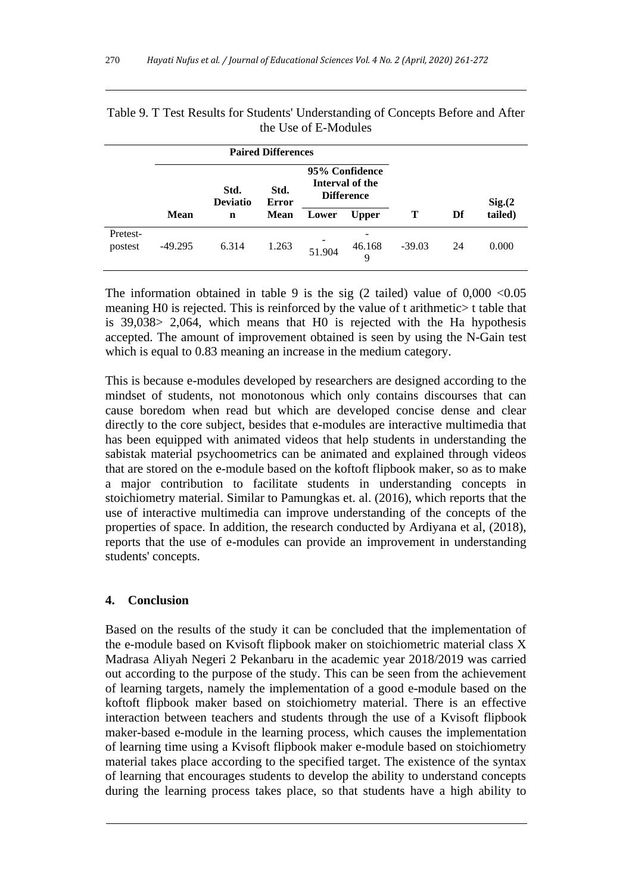| <b>Paired Differences</b> |                                                                                                    |             |             |        |                  |          |    |         |
|---------------------------|----------------------------------------------------------------------------------------------------|-------------|-------------|--------|------------------|----------|----|---------|
|                           | 95% Confidence<br>Interval of the<br>Std.<br>Std.<br><b>Difference</b><br><b>Deviatio</b><br>Error |             |             |        | Sig.(2)          |          |    |         |
|                           | <b>Mean</b>                                                                                        | $\mathbf n$ | <b>Mean</b> | Lower  | <b>Upper</b>     | Т        | Df | tailed) |
| Pretest-<br>postest       | $-49.295$                                                                                          | 6.314       | 1.263       | 51.904 | -<br>46.168<br>9 | $-39.03$ | 24 | 0.000   |

| Table 9. T Test Results for Students' Understanding of Concepts Before and After |                      |  |  |
|----------------------------------------------------------------------------------|----------------------|--|--|
|                                                                                  | the Use of E-Modules |  |  |

The information obtained in table 9 is the sig  $(2 \text{ tailed})$  value of  $0,000 < 0.05$ meaning H0 is rejected. This is reinforced by the value of t arithmetic> t table that is 39,038> 2,064, which means that H0 is rejected with the Ha hypothesis accepted. The amount of improvement obtained is seen by using the N-Gain test which is equal to 0.83 meaning an increase in the medium category.

This is because e-modules developed by researchers are designed according to the mindset of students, not monotonous which only contains discourses that can cause boredom when read but which are developed concise dense and clear directly to the core subject, besides that e-modules are interactive multimedia that has been equipped with animated videos that help students in understanding the sabistak material psychoometrics can be animated and explained through videos that are stored on the e-module based on the koftoft flipbook maker, so as to make a major contribution to facilitate students in understanding concepts in stoichiometry material. Similar to Pamungkas et. al. (2016), which reports that the use of interactive multimedia can improve understanding of the concepts of the properties of space. In addition, the research conducted by Ardiyana et al, (2018), reports that the use of e-modules can provide an improvement in understanding students' concepts.

## **4. Conclusion**

Based on the results of the study it can be concluded that the implementation of the e-module based on Kvisoft flipbook maker on stoichiometric material class X Madrasa Aliyah Negeri 2 Pekanbaru in the academic year 2018/2019 was carried out according to the purpose of the study. This can be seen from the achievement of learning targets, namely the implementation of a good e-module based on the koftoft flipbook maker based on stoichiometry material. There is an effective interaction between teachers and students through the use of a Kvisoft flipbook maker-based e-module in the learning process, which causes the implementation of learning time using a Kvisoft flipbook maker e-module based on stoichiometry material takes place according to the specified target. The existence of the syntax of learning that encourages students to develop the ability to understand concepts during the learning process takes place, so that students have a high ability to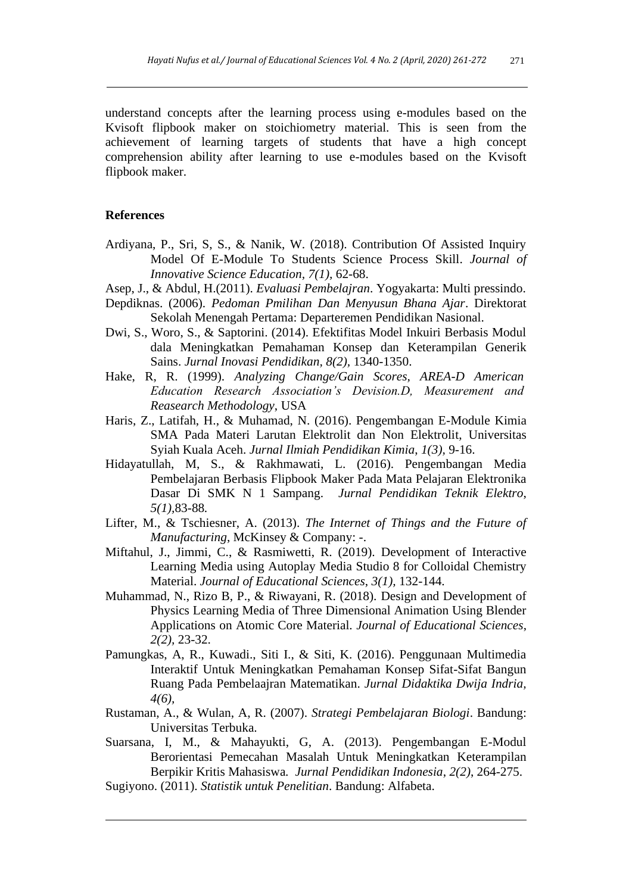understand concepts after the learning process using e-modules based on the Kvisoft flipbook maker on stoichiometry material. This is seen from the achievement of learning targets of students that have a high concept comprehension ability after learning to use e-modules based on the Kvisoft flipbook maker.

#### **References**

- Ardiyana, P., Sri, S, S., & Nanik, W. (2018). Contribution Of Assisted Inquiry Model Of E-Module To Students Science Process Skill. *Journal of Innovative Science Education, 7(1),* 62-68.
- Asep, J., & Abdul, H.(2011). *Evaluasi Pembelajran*. Yogyakarta: Multi pressindo.
- Depdiknas. (2006). *Pedoman Pmilihan Dan Menyusun Bhana Ajar*. Direktorat Sekolah Menengah Pertama: Departeremen Pendidikan Nasional.
- Dwi, S., Woro, S., & Saptorini. (2014). Efektifitas Model Inkuiri Berbasis Modul dala Meningkatkan Pemahaman Konsep dan Keterampilan Generik Sains. *Jurnal Inovasi Pendidikan, 8(2),* 1340-1350.
- Hake, R, R. (1999). *Analyzing Change/Gain Scores, AREA-D American Education Research Association's Devision.D, Measurement and Reasearch Methodology*, USA
- Haris, Z., Latifah, H., & Muhamad, N. (2016). Pengembangan E-Module Kimia SMA Pada Materi Larutan Elektrolit dan Non Elektrolit, Universitas Syiah Kuala Aceh. *Jurnal Ilmiah Pendidikan Kimia*, *1(3),* 9-16.
- Hidayatullah, M, S., & Rakhmawati, L. (2016). Pengembangan Media Pembelajaran Berbasis Flipbook Maker Pada Mata Pelajaran Elektronika Dasar Di SMK N 1 Sampang. *Jurnal Pendidikan Teknik Elektro*, *5(1),*83-88*.*
- Lifter, M., & Tschiesner, A. (2013). *The Internet of Things and the Future of Manufacturing*, McKinsey & Company: -.
- Miftahul, J., Jimmi, C., & Rasmiwetti, R. (2019). [Development of Interactive](https://doaj.org/article/1e94b6e56e7a4d84a588582c8f57cd4b)  [Learning Media using Autoplay Media Studio 8 for Colloidal Chemistry](https://doaj.org/article/1e94b6e56e7a4d84a588582c8f57cd4b)  [Material.](https://doaj.org/article/1e94b6e56e7a4d84a588582c8f57cd4b) *[Journal of Educational Sciences](https://doaj.org/toc/2581-1657)*, *3(1),* 132-144.
- Muhammad, N., Rizo B, P., & Riwayani, R. (2018). Design and Development of Physics Learning Media of Three Dimensional Animation Using Blender Applications on Atomic Core Material. *Journal of Educational Sciences*, *2(2),* 23-32.
- Pamungkas, A, R., Kuwadi., Siti I., & Siti, K. (2016). Penggunaan Multimedia Interaktif Untuk Meningkatkan Pemahaman Konsep Sifat-Sifat Bangun Ruang Pada Pembelaajran Matematikan. *Jurnal Didaktika Dwija Indria, 4(6),*
- Rustaman, A., & Wulan, A, R. (2007). *Strategi Pembelajaran Biologi*. Bandung: Universitas Terbuka.
- Suarsana, I, M., & Mahayukti, G, A. (2013). Pengembangan E-Modul Berorientasi Pemecahan Masalah Untuk Meningkatkan Keterampilan Berpikir Kritis Mahasiswa*. Jurnal Pendidikan Indonesia*, *2(2)*, 264-275.
- Sugiyono. (2011). *Statistik untuk Penelitian*. Bandung: Alfabeta.